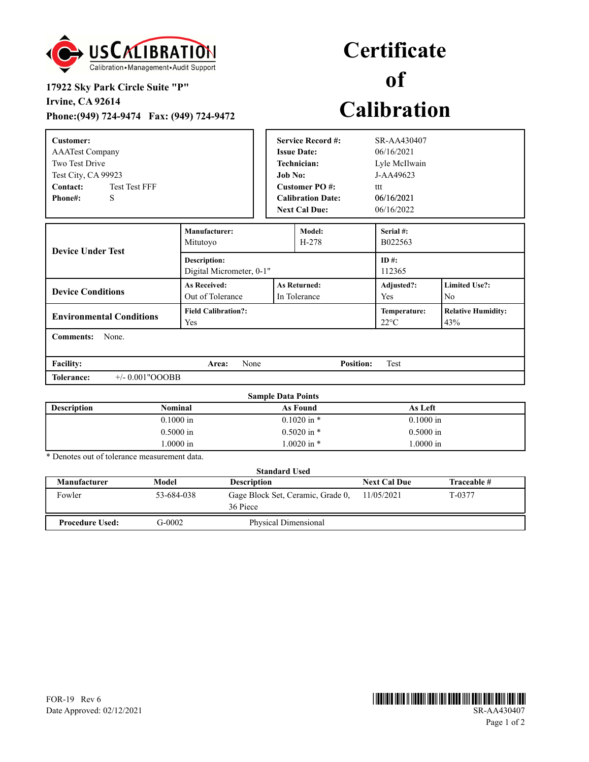

## **17922 Sky Park Circle Suite "P"**

**Irvine, CA 92614**

**Phone:(949) 724-9474 Fax: (949) 724-9472**

## **Certificate of Calibration**

| <b>Customer:</b><br><b>AAATest Company</b><br>Two Test Drive<br>Test City, CA 99923<br><b>Test Test FFF</b><br>Contact:<br><b>Phone#:</b><br>S |                                                                                | <b>Service Record #:</b><br><b>Issue Date:</b><br><b>Technician:</b><br><b>Job No:</b><br><b>Customer PO#:</b><br><b>Calibration Date:</b><br><b>Next Cal Due:</b> |                                | SR-AA430407<br>06/16/2021<br>Lyle McIlwain<br>J-AA49623<br>ttt<br>06/16/2021<br>06/16/2022 |  |  |
|------------------------------------------------------------------------------------------------------------------------------------------------|--------------------------------------------------------------------------------|--------------------------------------------------------------------------------------------------------------------------------------------------------------------|--------------------------------|--------------------------------------------------------------------------------------------|--|--|
| <b>Device Under Test</b>                                                                                                                       | Manufacturer:<br>Mitutoyo                                                      |                                                                                                                                                                    | Model:<br>$H-278$              | Serial #:<br>B022563                                                                       |  |  |
|                                                                                                                                                | <b>Description:</b><br>Digital Micrometer, 0-1"                                |                                                                                                                                                                    |                                | ID #:<br>112365                                                                            |  |  |
| <b>Device Conditions</b>                                                                                                                       | <b>As Received:</b><br><b>As Returned:</b><br>Out of Tolerance<br>In Tolerance |                                                                                                                                                                    | Adjusted?:<br>Yes              | <b>Limited Use?:</b><br>N <sub>o</sub>                                                     |  |  |
| <b>Environmental Conditions</b>                                                                                                                | <b>Field Calibration?:</b><br>Yes                                              |                                                                                                                                                                    | Temperature:<br>$22^{\circ}$ C | <b>Relative Humidity:</b><br>43%                                                           |  |  |
| None.<br><b>Comments:</b>                                                                                                                      |                                                                                |                                                                                                                                                                    |                                |                                                                                            |  |  |

**Facility: Area: Position:** None Test **Tolerance:** +/- 0.001"OOOBB

| <b>Sample Data Points</b> |                |                 |             |  |  |  |
|---------------------------|----------------|-----------------|-------------|--|--|--|
| <b>Description</b>        | <b>Nominal</b> | As Found        | As Left     |  |  |  |
|                           | $0.1000$ in    | $0.1020$ in $*$ | $0.1000$ in |  |  |  |
|                           | $0.5000$ in    | $0.5020$ in $*$ | $0.5000$ in |  |  |  |
|                           | .0000 in       | $1.0020$ in $*$ | 1.0000 in   |  |  |  |

\* Denotes out of tolerance measurement data.

| <b>Standard Used</b>   |            |                                               |                     |             |  |  |
|------------------------|------------|-----------------------------------------------|---------------------|-------------|--|--|
| Manufacturer           | Model      | <b>Description</b>                            | <b>Next Cal Due</b> | Traceable # |  |  |
| Fowler                 | 53-684-038 | Gage Block Set, Ceramic, Grade 0,<br>36 Piece | 11/05/2021          | T-0377      |  |  |
| <b>Procedure Used:</b> | G-0002     | Physical Dimensional                          |                     |             |  |  |